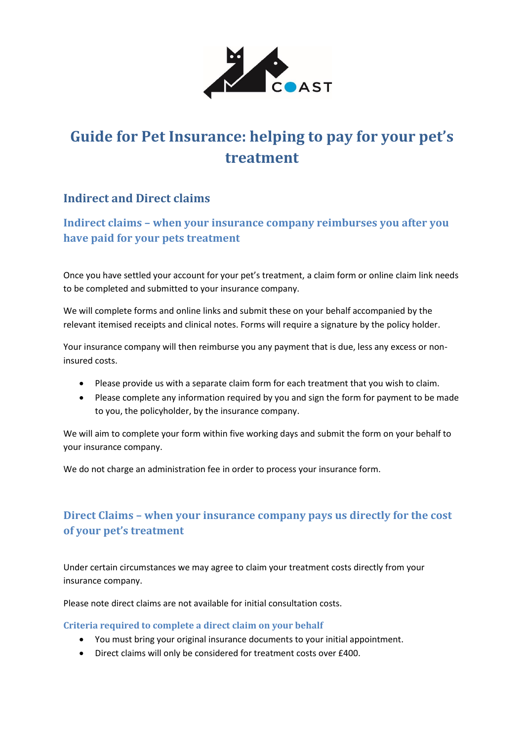

# **Guide for Pet Insurance: helping to pay for your pet's treatment**

### **Indirect and Direct claims**

**Indirect claims – when your insurance company reimburses you after you have paid for your pets treatment**

Once you have settled your account for your pet's treatment, a claim form or online claim link needs to be completed and submitted to your insurance company.

We will complete forms and online links and submit these on your behalf accompanied by the relevant itemised receipts and clinical notes. Forms will require a signature by the policy holder.

Your insurance company will then reimburse you any payment that is due, less any excess or noninsured costs.

- Please provide us with a separate claim form for each treatment that you wish to claim.
- Please complete any information required by you and sign the form for payment to be made to you, the policyholder, by the insurance company.

We will aim to complete your form within five working days and submit the form on your behalf to your insurance company.

We do not charge an administration fee in order to process your insurance form.

## **Direct Claims – when your insurance company pays us directly for the cost of your pet's treatment**

Under certain circumstances we may agree to claim your treatment costs directly from your insurance company.

Please note direct claims are not available for initial consultation costs.

#### **Criteria required to complete a direct claim on your behalf**

- You must bring your original insurance documents to your initial appointment.
- Direct claims will only be considered for treatment costs over £400.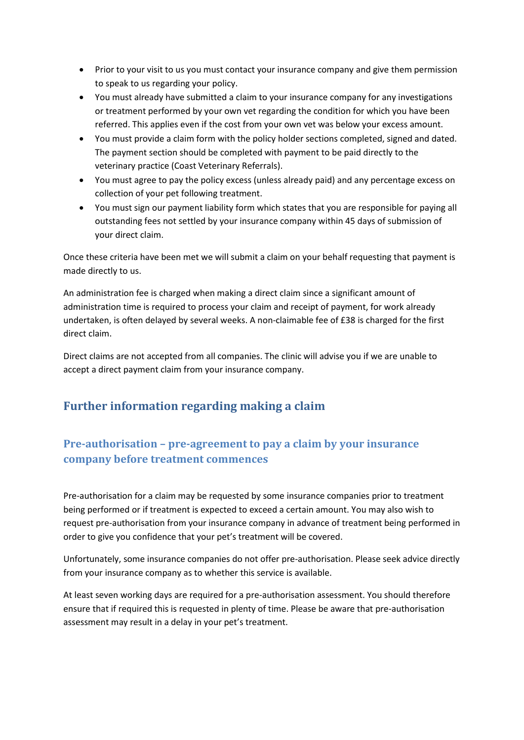- Prior to your visit to us you must contact your insurance company and give them permission to speak to us regarding your policy.
- You must already have submitted a claim to your insurance company for any investigations or treatment performed by your own vet regarding the condition for which you have been referred. This applies even if the cost from your own vet was below your excess amount.
- You must provide a claim form with the policy holder sections completed, signed and dated. The payment section should be completed with payment to be paid directly to the veterinary practice (Coast Veterinary Referrals).
- You must agree to pay the policy excess (unless already paid) and any percentage excess on collection of your pet following treatment.
- You must sign our payment liability form which states that you are responsible for paying all outstanding fees not settled by your insurance company within 45 days of submission of your direct claim.

Once these criteria have been met we will submit a claim on your behalf requesting that payment is made directly to us.

An administration fee is charged when making a direct claim since a significant amount of administration time is required to process your claim and receipt of payment, for work already undertaken, is often delayed by several weeks. A non-claimable fee of £38 is charged for the first direct claim.

Direct claims are not accepted from all companies. The clinic will advise you if we are unable to accept a direct payment claim from your insurance company.

## **Further information regarding making a claim**

## **Pre-authorisation – pre-agreement to pay a claim by your insurance company before treatment commences**

Pre-authorisation for a claim may be requested by some insurance companies prior to treatment being performed or if treatment is expected to exceed a certain amount. You may also wish to request pre-authorisation from your insurance company in advance of treatment being performed in order to give you confidence that your pet's treatment will be covered.

Unfortunately, some insurance companies do not offer pre-authorisation. Please seek advice directly from your insurance company as to whether this service is available.

At least seven working days are required for a pre-authorisation assessment. You should therefore ensure that if required this is requested in plenty of time. Please be aware that pre-authorisation assessment may result in a delay in your pet's treatment.